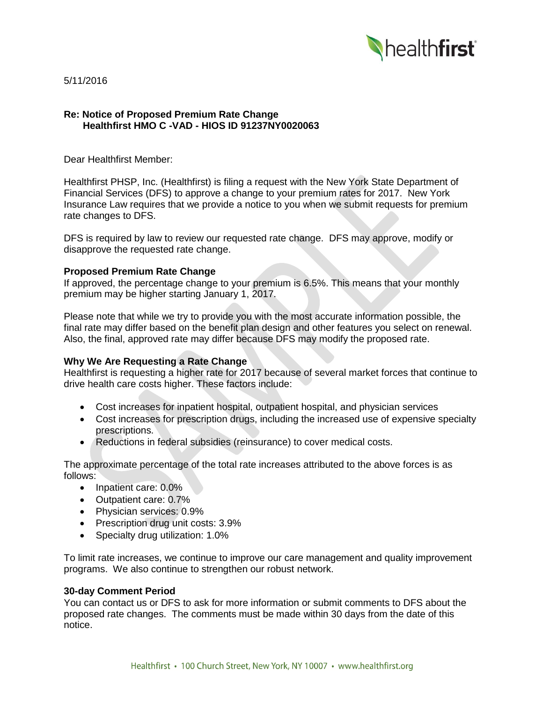

5/11/2016

## **Re: Notice of Proposed Premium Rate Change Healthfirst HMO C -VAD - HIOS ID 91237NY0020063**

Dear Healthfirst Member:

Healthfirst PHSP, Inc. (Healthfirst) is filing a request with the New York State Department of Financial Services (DFS) to approve a change to your premium rates for 2017. New York Insurance Law requires that we provide a notice to you when we submit requests for premium rate changes to DFS.

DFS is required by law to review our requested rate change. DFS may approve, modify or disapprove the requested rate change.

## **Proposed Premium Rate Change**

If approved, the percentage change to your premium is 6.5%. This means that your monthly premium may be higher starting January 1, 2017.

Please note that while we try to provide you with the most accurate information possible, the final rate may differ based on the benefit plan design and other features you select on renewal. Also, the final, approved rate may differ because DFS may modify the proposed rate.

# **Why We Are Requesting a Rate Change**

Healthfirst is requesting a higher rate for 2017 because of several market forces that continue to drive health care costs higher. These factors include:

- Cost increases for inpatient hospital, outpatient hospital, and physician services
- Cost increases for prescription drugs, including the increased use of expensive specialty prescriptions.
- Reductions in federal subsidies (reinsurance) to cover medical costs.

The approximate percentage of the total rate increases attributed to the above forces is as follows:

- Inpatient care: 0.0%
- Outpatient care: 0.7%
- Physician services: 0.9%
- Prescription drug unit costs: 3.9%
- Specialty drug utilization: 1.0%

To limit rate increases, we continue to improve our care management and quality improvement programs. We also continue to strengthen our robust network.

#### **30-day Comment Period**

You can contact us or DFS to ask for more information or submit comments to DFS about the proposed rate changes. The comments must be made within 30 days from the date of this notice.